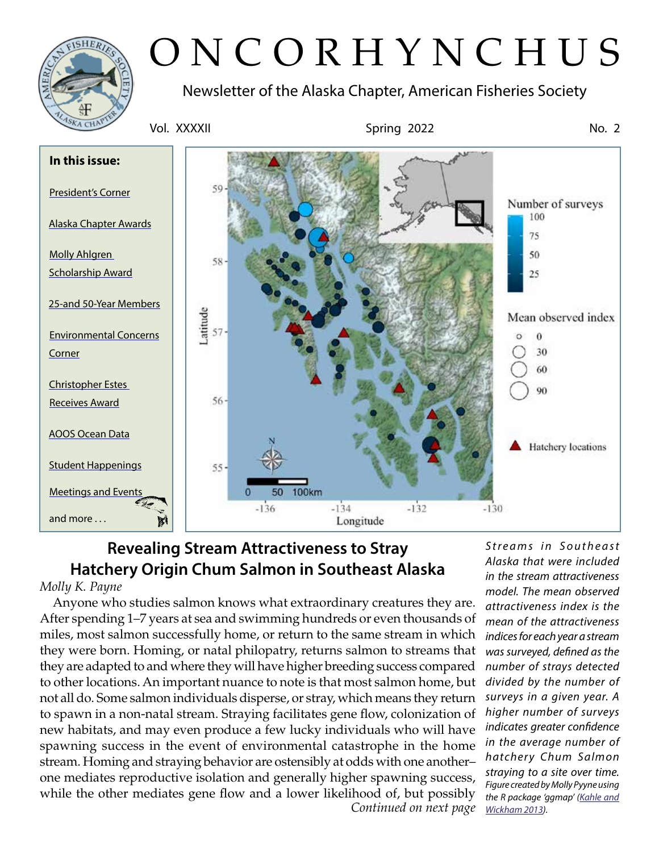

# ONCORHYNCHUS

Newsletter of the Alaska Chapter, American Fisheries Society



# **Revealing Stream Attractiveness to Stray Hatchery Origin Chum Salmon in Southeast Alaska**

# *Molly K. Payne*

*Continued on next page* Anyone who studies salmon knows what extraordinary creatures they are. After spending 1–7 years at sea and swimming hundreds or even thousands of miles, most salmon successfully home, or return to the same stream in which they were born. Homing, or natal philopatry, returns salmon to streams that they are adapted to and where they will have higher breeding success compared to other locations. An important nuance to note is that most salmon home, but not all do. Some salmon individuals disperse, or stray, which means they return to spawn in a non-natal stream. Straying facilitates gene flow, colonization of new habitats, and may even produce a few lucky individuals who will have spawning success in the event of environmental catastrophe in the home stream. Homing and straying behavior are ostensibly at odds with one another– one mediates reproductive isolation and generally higher spawning success, while the other mediates gene flow and a lower likelihood of, but possibly

*Streams in Southeast Alaska that were included in the stream attractiveness model. The mean observed attractiveness index is the mean of the attractiveness indices for each year a stream was surveyed, defined as the number of strays detected divided by the number of surveys in a given year. A higher number of surveys indicates greater confidence in the average number of hatchery Chum Salmon straying to a site over time. Figure created by Molly Pyyne using the R package 'ggmap' ([Kahle and](https://journal.r-project.org/archive/2013/RJ-2013-014/RJ-2013-014.pdf)  [Wickham 2013\)](https://journal.r-project.org/archive/2013/RJ-2013-014/RJ-2013-014.pdf).*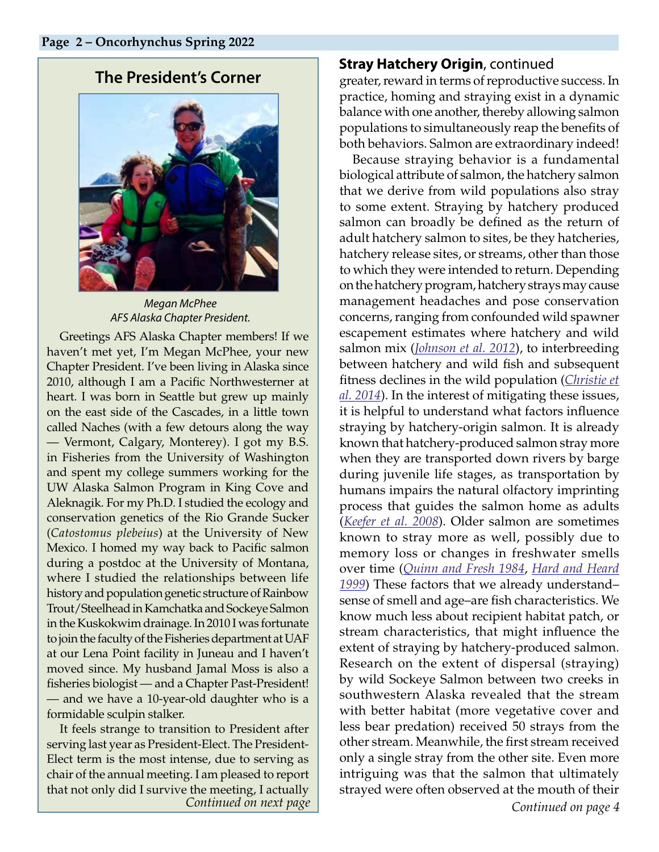# <span id="page-1-0"></span>**The President's Corner**



*Megan McPhee AFS Alaska Chapter President.* 

Greetings AFS Alaska Chapter members! If we haven't met yet, I'm Megan McPhee, your new Chapter President. I've been living in Alaska since 2010, although I am a Pacific Northwesterner at heart. I was born in Seattle but grew up mainly on the east side of the Cascades, in a little town called Naches (with a few detours along the way — Vermont, Calgary, Monterey). I got my B.S. in Fisheries from the University of Washington and spent my college summers working for the UW Alaska Salmon Program in King Cove and Aleknagik. For my Ph.D. I studied the ecology and conservation genetics of the Rio Grande Sucker (*Catostomus plebeius*) at the University of New Mexico. I homed my way back to Pacific salmon during a postdoc at the University of Montana, where I studied the relationships between life history and population genetic structure of Rainbow Trout/Steelhead in Kamchatka and Sockeye Salmon in the Kuskokwim drainage. In 2010 I was fortunate to join the faculty of the Fisheries department at UAF at our Lena Point facility in Juneau and I haven't moved since. My husband Jamal Moss is also a fisheries biologist — and a Chapter Past-President! — and we have a 10-year-old daughter who is a formidable sculpin stalker.

It feels strange to transition to President after serving last year as President-Elect. The President-Elect term is the most intense, due to serving as chair of the annual meeting. I am pleased to report that not only did I survive the meeting, I actually

## **Stray Hatchery Origin**, continued

greater, reward in terms of reproductive success. In practice, homing and straying exist in a dynamic balance with one another, thereby allowing salmon populations to simultaneously reap the benefits of both behaviors. Salmon are extraordinary indeed!

*Continued on next page Continued on page 4* Because straying behavior is a fundamental biological attribute of salmon, the hatchery salmon that we derive from wild populations also stray to some extent. Straying by hatchery produced salmon can broadly be defined as the return of adult hatchery salmon to sites, be they hatcheries, hatchery release sites, or streams, other than those to which they were intended to return. Depending on the hatchery program, hatchery strays may cause management headaches and pose conservation concerns, ranging from confounded wild spawner escapement estimates where hatchery and wild salmon mix (*[Johnson et al. 2012](https://journals.plos.org/plosone/article?id=10.1371/journal.pone.0028880)*), to interbreeding between hatchery and wild fish and subsequent fitness declines in the wild population (*[Christie et](https://www.ncbi.nlm.nih.gov/pmc/articles/PMC4211718/)  [al. 2014](https://www.ncbi.nlm.nih.gov/pmc/articles/PMC4211718/)*). In the interest of mitigating these issues, it is helpful to understand what factors influence straying by hatchery-origin salmon. It is already known that hatchery-produced salmon stray more when they are transported down rivers by barge during juvenile life stages, as transportation by humans impairs the natural olfactory imprinting process that guides the salmon home as adults (*[Keefer et al. 2008](https://esajournals.onlinelibrary.wiley.com/doi/abs/10.1890/07-0710.1)*). Older salmon are sometimes known to stray more as well, possibly due to memory loss or changes in freshwater smells over time (*[Quinn and Fresh 1984](https://cdnsciencepub.com/doi/10.1139/f84-126)*, *[Hard and Heard](https://cdnsciencepub.com/doi/10.1139/f98-199)  [1999](https://cdnsciencepub.com/doi/10.1139/f98-199)*) These factors that we already understand– sense of smell and age–are fish characteristics. We know much less about recipient habitat patch, or stream characteristics, that might influence the extent of straying by hatchery-produced salmon. Research on the extent of dispersal (straying) by wild Sockeye Salmon between two creeks in southwestern Alaska revealed that the stream with better habitat (more vegetative cover and less bear predation) received 50 strays from the other stream. Meanwhile, the first stream received only a single stray from the other site. Even more intriguing was that the salmon that ultimately strayed were often observed at the mouth of their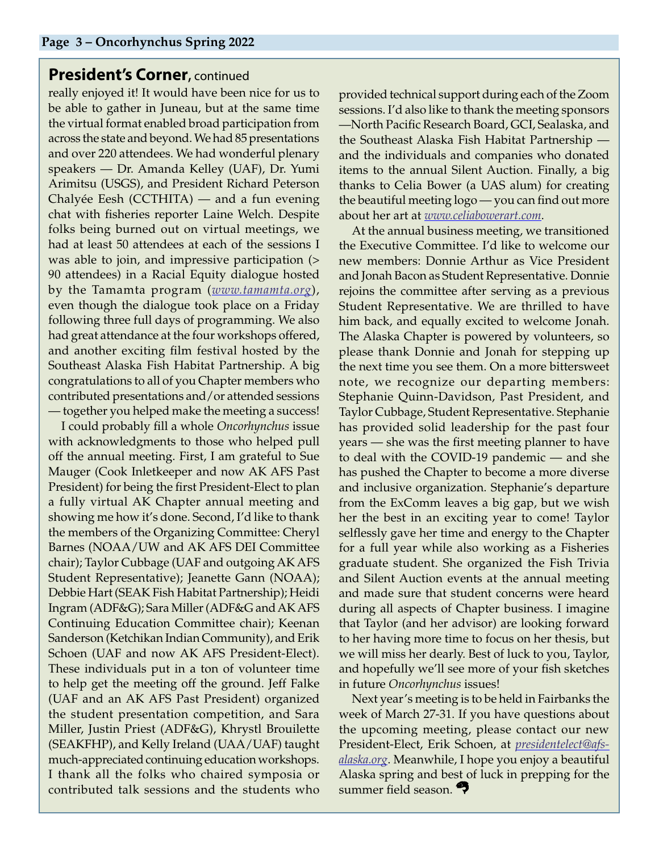## **President's Corner, continued**

really enjoyed it! It would have been nice for us to be able to gather in Juneau, but at the same time the virtual format enabled broad participation from across the state and beyond. We had 85 presentations and over 220 attendees. We had wonderful plenary speakers — Dr. Amanda Kelley (UAF), Dr. Yumi Arimitsu (USGS), and President Richard Peterson Chalyée Eesh (CCTHITA) — and a fun evening chat with fisheries reporter Laine Welch. Despite folks being burned out on virtual meetings, we had at least 50 attendees at each of the sessions I was able to join, and impressive participation (> 90 attendees) in a Racial Equity dialogue hosted by the Tamamta program (*[www.tamamta.org](http://www.tamamta.org)*), even though the dialogue took place on a Friday following three full days of programming. We also had great attendance at the four workshops offered, and another exciting film festival hosted by the Southeast Alaska Fish Habitat Partnership. A big congratulations to all of you Chapter members who contributed presentations and/or attended sessions — together you helped make the meeting a success!

I could probably fill a whole *Oncorhynchus* issue with acknowledgments to those who helped pull off the annual meeting. First, I am grateful to Sue Mauger (Cook Inletkeeper and now AK AFS Past President) for being the first President-Elect to plan a fully virtual AK Chapter annual meeting and showing me how it's done. Second, I'd like to thank the members of the Organizing Committee: Cheryl Barnes (NOAA/UW and AK AFS DEI Committee chair); Taylor Cubbage (UAF and outgoing AK AFS Student Representative); Jeanette Gann (NOAA); Debbie Hart (SEAK Fish Habitat Partnership); Heidi Ingram (ADF&G); Sara Miller (ADF&G and AK AFS Continuing Education Committee chair); Keenan Sanderson (Ketchikan Indian Community), and Erik Schoen (UAF and now AK AFS President-Elect). These individuals put in a ton of volunteer time to help get the meeting off the ground. Jeff Falke (UAF and an AK AFS Past President) organized the student presentation competition, and Sara Miller, Justin Priest (ADF&G), Khrystl Brouilette (SEAKFHP), and Kelly Ireland (UAA/UAF) taught much-appreciated continuing education workshops. I thank all the folks who chaired symposia or contributed talk sessions and the students who

provided technical support during each of the Zoom sessions. I'd also like to thank the meeting sponsors —North Pacific Research Board, GCI, Sealaska, and the Southeast Alaska Fish Habitat Partnership and the individuals and companies who donated items to the annual Silent Auction. Finally, a big thanks to Celia Bower (a UAS alum) for creating the beautiful meeting logo — you can find out more about her art at *[www.celiabowerart.com](http://www.celiabowerart.com)*.

At the annual business meeting, we transitioned the Executive Committee. I'd like to welcome our new members: Donnie Arthur as Vice President and Jonah Bacon as Student Representative. Donnie rejoins the committee after serving as a previous Student Representative. We are thrilled to have him back, and equally excited to welcome Jonah. The Alaska Chapter is powered by volunteers, so please thank Donnie and Jonah for stepping up the next time you see them. On a more bittersweet note, we recognize our departing members: Stephanie Quinn-Davidson, Past President, and Taylor Cubbage, Student Representative. Stephanie has provided solid leadership for the past four years — she was the first meeting planner to have to deal with the COVID-19 pandemic — and she has pushed the Chapter to become a more diverse and inclusive organization. Stephanie's departure from the ExComm leaves a big gap, but we wish her the best in an exciting year to come! Taylor selflessly gave her time and energy to the Chapter for a full year while also working as a Fisheries graduate student. She organized the Fish Trivia and Silent Auction events at the annual meeting and made sure that student concerns were heard during all aspects of Chapter business. I imagine that Taylor (and her advisor) are looking forward to her having more time to focus on her thesis, but we will miss her dearly. Best of luck to you, Taylor, and hopefully we'll see more of your fish sketches in future *Oncorhynchus* issues!

Next year's meeting is to be held in Fairbanks the week of March 27-31. If you have questions about the upcoming meeting, please contact our new President-Elect, Erik Schoen, at *[presidentelect@afs](mailto:presidentelect%40afs-alaska.org?subject=)[alaska.org](mailto:presidentelect%40afs-alaska.org?subject=)*. Meanwhile, I hope you enjoy a beautiful Alaska spring and best of luck in prepping for the summer field season.<sup>27</sup>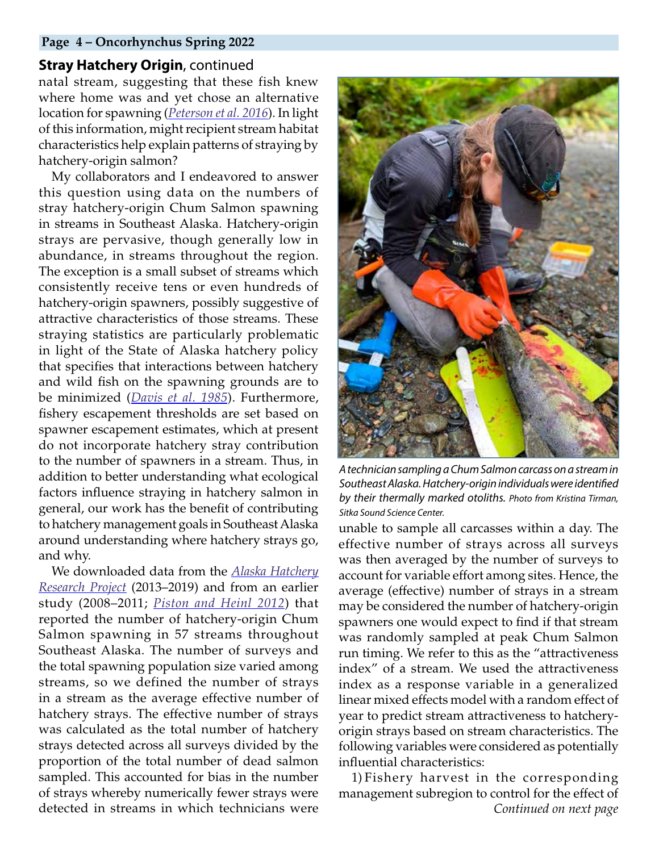#### **Page 4 – Oncorhynchus Spring 2022**

## **Stray Hatchery Origin**, continued

natal stream, suggesting that these fish knew where home was and yet chose an alternative location for spawning (*[Peterson et al. 2016](https://academic.oup.com/beheco/article/27/1/126/1742972)*). In light of this information, might recipient stream habitat characteristics help explain patterns of straying by hatchery-origin salmon?

My collaborators and I endeavored to answer this question using data on the numbers of stray hatchery-origin Chum Salmon spawning in streams in Southeast Alaska. Hatchery-origin strays are pervasive, though generally low in abundance, in streams throughout the region. The exception is a small subset of streams which consistently receive tens or even hundreds of hatchery-origin spawners, possibly suggestive of attractive characteristics of those streams. These straying statistics are particularly problematic in light of the State of Alaska hatchery policy that specifies that interactions between hatchery and wild fish on the spawning grounds are to be minimized (*[Davis et al. 1985](https://www.adfg.alaska.gov/FedAidPDFs/FRED.GeneticsPolicy.1985.pdf)*). Furthermore, fishery escapement thresholds are set based on spawner escapement estimates, which at present do not incorporate hatchery stray contribution to the number of spawners in a stream. Thus, in addition to better understanding what ecological factors influence straying in hatchery salmon in general, our work has the benefit of contributing to hatchery management goals in Southeast Alaska around understanding where hatchery strays go, and why.

We downloaded data from the *[Alaska Hatchery](https://www.adfg.alaska.gov/index.cfm?adfg=fishingHatcheriesResearch.current_research) [Research Project](https://www.adfg.alaska.gov/index.cfm?adfg=fishingHatcheriesResearch.current_research)* (2013–2019) and from an earlier study (2008–2011; *[Piston and Heinl 2012](https://www.adfg.alaska.gov/FedAidPDFs/FMS12-01.pdf)*) that reported the number of hatchery-origin Chum Salmon spawning in 57 streams throughout Southeast Alaska. The number of surveys and the total spawning population size varied among streams, so we defined the number of strays in a stream as the average effective number of hatchery strays. The effective number of strays was calculated as the total number of hatchery strays detected across all surveys divided by the proportion of the total number of dead salmon sampled. This accounted for bias in the number of strays whereby numerically fewer strays were detected in streams in which technicians were



*A technician sampling a Chum Salmon carcass on a stream in Southeast Alaska. Hatchery-origin individuals were identified by their thermally marked otoliths. Photo from Kristina Tirman, Sitka Sound Science Center.*

unable to sample all carcasses within a day. The effective number of strays across all surveys was then averaged by the number of surveys to account for variable effort among sites. Hence, the average (effective) number of strays in a stream may be considered the number of hatchery-origin spawners one would expect to find if that stream was randomly sampled at peak Chum Salmon run timing. We refer to this as the "attractiveness index" of a stream. We used the attractiveness index as a response variable in a generalized linear mixed effects model with a random effect of year to predict stream attractiveness to hatcheryorigin strays based on stream characteristics. The following variables were considered as potentially influential characteristics:

*Continued on next page* 1) Fishery harvest in the corresponding management subregion to control for the effect of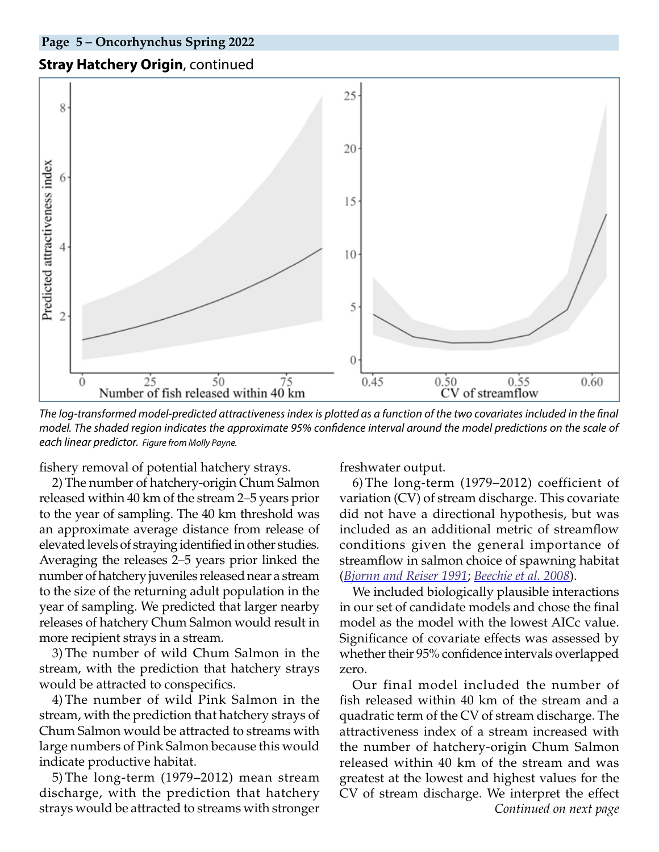# **Stray Hatchery Origin**, continued



*The log-transformed model-predicted attractiveness index is plotted as a function of the two covariates included in the final model. The shaded region indicates the approximate 95% confidence interval around the model predictions on the scale of each linear predictor. Figure from Molly Payne.*

fishery removal of potential hatchery strays.

2) The number of hatchery-origin Chum Salmon released within 40 km of the stream 2–5 years prior to the year of sampling. The 40 km threshold was an approximate average distance from release of elevated levels of straying identified in other studies. Averaging the releases 2–5 years prior linked the number of hatchery juveniles released near a stream to the size of the returning adult population in the year of sampling. We predicted that larger nearby releases of hatchery Chum Salmon would result in more recipient strays in a stream.

3) The number of wild Chum Salmon in the stream, with the prediction that hatchery strays would be attracted to conspecifics.

4) The number of wild Pink Salmon in the stream, with the prediction that hatchery strays of Chum Salmon would be attracted to streams with large numbers of Pink Salmon because this would indicate productive habitat.

5) The long-term (1979–2012) mean stream discharge, with the prediction that hatchery strays would be attracted to streams with stronger

freshwater output.

6) The long-term (1979–2012) coefficient of variation (CV) of stream discharge. This covariate did not have a directional hypothesis, but was included as an additional metric of streamflow conditions given the general importance of streamflow in salmon choice of spawning habitat (*[Bjornn and Reiser 1991](https://www.for.gov.bc.ca/hfd/library/ffip/Bjornn_TC1991.pdf)*; *[Beechie et al. 2008](https://fisheries.org/doi/9781934874035-ch5/)*).

We included biologically plausible interactions in our set of candidate models and chose the final model as the model with the lowest AICc value. Significance of covariate effects was assessed by whether their 95% confidence intervals overlapped zero.

*Continued on next page* Our final model included the number of fish released within 40 km of the stream and a quadratic term of the CV of stream discharge. The attractiveness index of a stream increased with the number of hatchery-origin Chum Salmon released within 40 km of the stream and was greatest at the lowest and highest values for the CV of stream discharge. We interpret the effect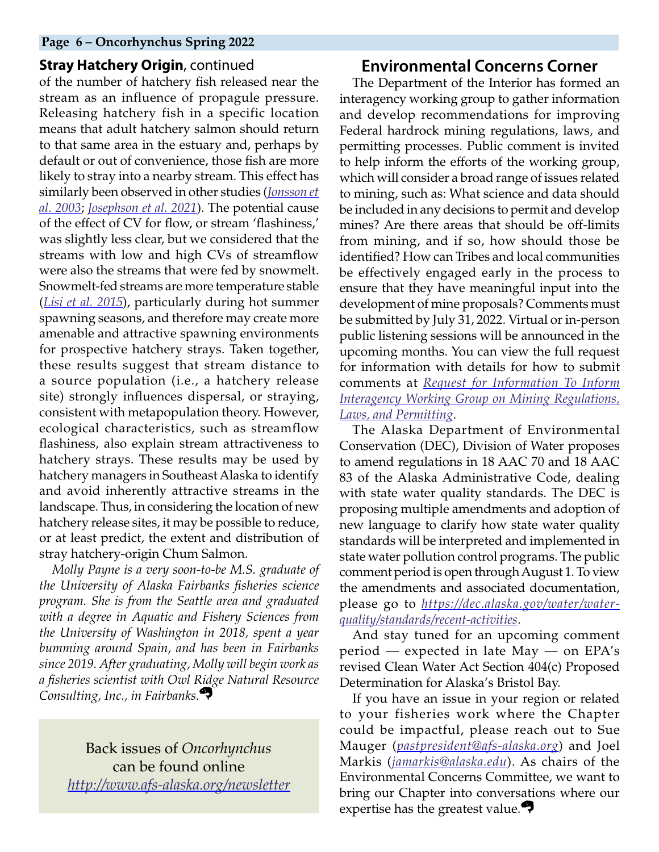#### **Page 6 – Oncorhynchus Spring 2022**

### **Stray Hatchery Origin**, continued

of the number of hatchery fish released near the stream as an influence of propagule pressure. Releasing hatchery fish in a specific location means that adult hatchery salmon should return to that same area in the estuary and, perhaps by default or out of convenience, those fish are more likely to stray into a nearby stream. This effect has similarly been observed in other studies (*[Jonsson et](https://www.researchgate.net/publication/229521303_Atantic_salmon_straying_from_the_River_Imsa) [al. 2003](https://www.researchgate.net/publication/229521303_Atantic_salmon_straying_from_the_River_Imsa)*; *[Josephson et al. 2021](https://afspubs.onlinelibrary.wiley.com/doi/full/10.1002/nafm.10580)*). The potential cause of the effect of CV for flow, or stream 'flashiness,' was slightly less clear, but we considered that the streams with low and high CVs of streamflow were also the streams that were fed by snowmelt. Snowmelt-fed streams are more temperature stable (*[Lisi et al. 2015](https://www.proquest.com/docview/1910849220/6FF0F917E9554478PQ/79?accountid=14470&forcedol=true)*), particularly during hot summer spawning seasons, and therefore may create more amenable and attractive spawning environments for prospective hatchery strays. Taken together, these results suggest that stream distance to a source population (i.e., a hatchery release site) strongly influences dispersal, or straying, consistent with metapopulation theory. However, ecological characteristics, such as streamflow flashiness, also explain stream attractiveness to hatchery strays. These results may be used by hatchery managers in Southeast Alaska to identify and avoid inherently attractive streams in the landscape. Thus, in considering the location of new hatchery release sites, it may be possible to reduce, or at least predict, the extent and distribution of stray hatchery-origin Chum Salmon.

*Molly Payne is a very soon-to-be M.S. graduate of the University of Alaska Fairbanks fisheries science program. She is from the Seattle area and graduated with a degree in Aquatic and Fishery Sciences from the University of Washington in 2018, spent a year bumming around Spain, and has been in Fairbanks since 2019. After graduating, Molly will begin work as a fisheries scientist with Owl Ridge Natural Resource Consulting, Inc., in Fairbanks.*

Back issues of *Oncorhynchus* can be found online *http://www.afs-alaska.org/newsletter*

## <span id="page-5-0"></span>**Environmental Concerns Corner**

The Department of the Interior has formed an interagency working group to gather information and develop recommendations for improving Federal hardrock mining regulations, laws, and permitting processes. Public comment is invited to help inform the efforts of the working group, which will consider a broad range of issues related to mining, such as: What science and data should be included in any decisions to permit and develop mines? Are there areas that should be off-limits from mining, and if so, how should those be identified? How can Tribes and local communities be effectively engaged early in the process to ensure that they have meaningful input into the development of mine proposals? Comments must be submitted by July 31, 2022. Virtual or in-person public listening sessions will be announced in the upcoming months. You can view the full request for information with details for how to submit comments at *[Request for Information To Inform](https://www.federalregister.gov/documents/2022/03/31/2022-06750/request-for-information-to-inform-interagency-working-group-on-mining-regulations-laws-and) [Interagency Working Group on Mining Regulations,](https://www.federalregister.gov/documents/2022/03/31/2022-06750/request-for-information-to-inform-interagency-working-group-on-mining-regulations-laws-and) [Laws, and Permitting](https://www.federalregister.gov/documents/2022/03/31/2022-06750/request-for-information-to-inform-interagency-working-group-on-mining-regulations-laws-and)*.

The Alaska Department of Environmental Conservation (DEC), Division of Water proposes to amend regulations in 18 AAC 70 and 18 AAC 83 of the Alaska Administrative Code, dealing with state water quality standards. The DEC is proposing multiple amendments and adoption of new language to clarify how state water quality standards will be interpreted and implemented in state water pollution control programs. The public comment period is open through August 1. To view the amendments and associated documentation, please go to *[https://dec.alaska.gov/water/water](https://dec.alaska.gov/water/water-quality/standards/recent-activities)[quality/standards/recent-activities](https://dec.alaska.gov/water/water-quality/standards/recent-activities)*.

And stay tuned for an upcoming comment period — expected in late May — on EPA's revised Clean Water Act Section 404(c) Proposed Determination for Alaska's Bristol Bay.

If you have an issue in your region or related to your fisheries work where the Chapter could be impactful, please reach out to Sue Mauger (*[pastpresident@afs-alaska.org](mailto:pastpresident%40afs-alaska.org?subject=)*) and Joel Markis (*[jamarkis@alaska.edu](mailto:jamarkis%40alaska.edu?subject=)*). As chairs of the Environmental Concerns Committee, we want to bring our Chapter into conversations where our expertise has the greatest value.<sup>47</sup>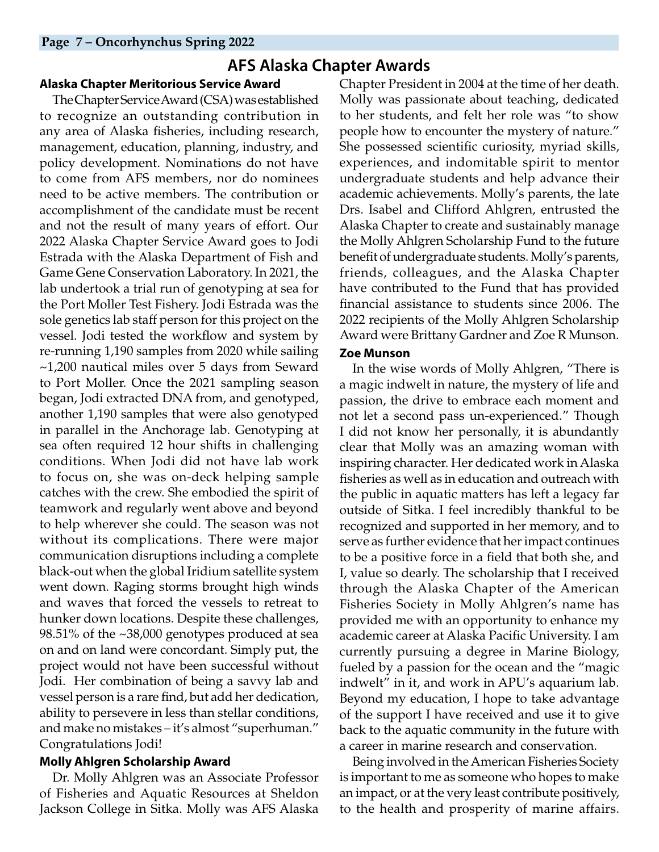# **AFS Alaska Chapter Awards**

#### **Alaska Chapter Meritorious Service Award**

The Chapter Service Award (CSA) was established to recognize an outstanding contribution in any area of Alaska fisheries, including research, management, education, planning, industry, and policy development. Nominations do not have to come from AFS members, nor do nominees need to be active members. The contribution or accomplishment of the candidate must be recent and not the result of many years of effort. Our 2022 Alaska Chapter Service Award goes to Jodi Estrada with the Alaska Department of Fish and Game Gene Conservation Laboratory. In 2021, the lab undertook a trial run of genotyping at sea for the Port Moller Test Fishery. Jodi Estrada was the sole genetics lab staff person for this project on the vessel. Jodi tested the workflow and system by re-running 1,190 samples from 2020 while sailing ~1,200 nautical miles over 5 days from Seward to Port Moller. Once the 2021 sampling season began, Jodi extracted DNA from, and genotyped, another 1,190 samples that were also genotyped in parallel in the Anchorage lab. Genotyping at sea often required 12 hour shifts in challenging conditions. When Jodi did not have lab work to focus on, she was on-deck helping sample catches with the crew. She embodied the spirit of teamwork and regularly went above and beyond to help wherever she could. The season was not without its complications. There were major communication disruptions including a complete black-out when the global Iridium satellite system went down. Raging storms brought high winds and waves that forced the vessels to retreat to hunker down locations. Despite these challenges, 98.51% of the ~38,000 genotypes produced at sea on and on land were concordant. Simply put, the project would not have been successful without Jodi. Her combination of being a savvy lab and vessel person is a rare find, but add her dedication, ability to persevere in less than stellar conditions, and make no mistakes – it's almost "superhuman." Congratulations Jodi!

## <span id="page-6-1"></span>**Molly Ahlgren Scholarship Award**

Dr. Molly Ahlgren was an Associate Professor of Fisheries and Aquatic Resources at Sheldon Jackson College in Sitka. Molly was AFS Alaska <span id="page-6-0"></span>Chapter President in 2004 at the time of her death. Molly was passionate about teaching, dedicated to her students, and felt her role was "to show people how to encounter the mystery of nature." She possessed scientific curiosity, myriad skills, experiences, and indomitable spirit to mentor undergraduate students and help advance their academic achievements. Molly's parents, the late Drs. Isabel and Clifford Ahlgren, entrusted the Alaska Chapter to create and sustainably manage the Molly Ahlgren Scholarship Fund to the future benefit of undergraduate students. Molly's parents, friends, colleagues, and the Alaska Chapter have contributed to the Fund that has provided financial assistance to students since 2006. The 2022 recipients of the Molly Ahlgren Scholarship Award were Brittany Gardner and Zoe R Munson.

## **Zoe Munson**

In the wise words of Molly Ahlgren, "There is a magic indwelt in nature, the mystery of life and passion, the drive to embrace each moment and not let a second pass un-experienced." Though I did not know her personally, it is abundantly clear that Molly was an amazing woman with inspiring character. Her dedicated work in Alaska fisheries as well as in education and outreach with the public in aquatic matters has left a legacy far outside of Sitka. I feel incredibly thankful to be recognized and supported in her memory, and to serve as further evidence that her impact continues to be a positive force in a field that both she, and I, value so dearly. The scholarship that I received through the Alaska Chapter of the American Fisheries Society in Molly Ahlgren's name has provided me with an opportunity to enhance my academic career at Alaska Pacific University. I am currently pursuing a degree in Marine Biology, fueled by a passion for the ocean and the "magic indwelt" in it, and work in APU's aquarium lab. Beyond my education, I hope to take advantage of the support I have received and use it to give back to the aquatic community in the future with a career in marine research and conservation.

Being involved in the American Fisheries Society is important to me as someone who hopes to make an impact, or at the very least contribute positively, to the health and prosperity of marine affairs.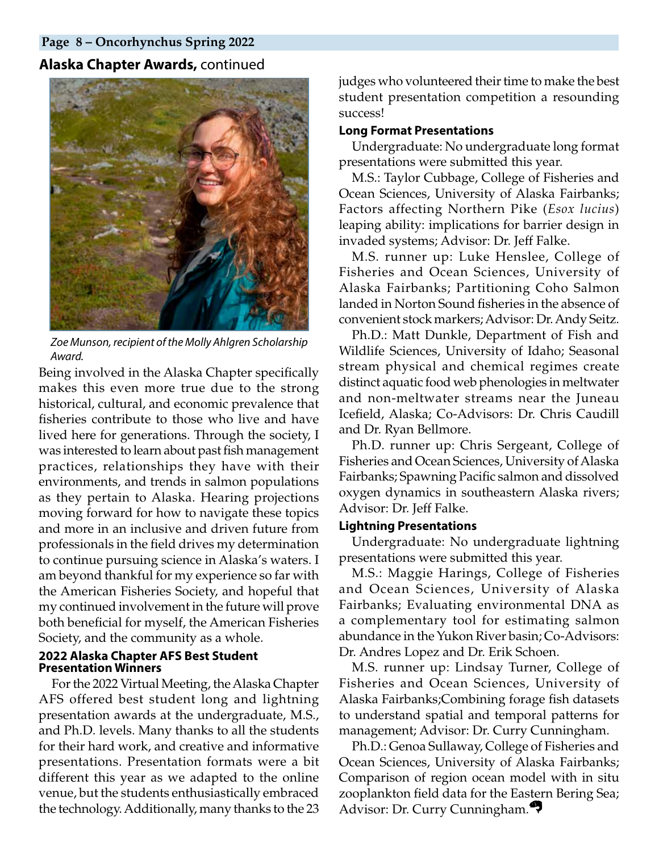#### **Page 8 – Oncorhynchus Spring 2022**

#### **Alaska Chapter Awards,** continued



*Zoe Munson, recipient of the Molly Ahlgren Scholarship Award.*

Being involved in the Alaska Chapter specifically makes this even more true due to the strong historical, cultural, and economic prevalence that fisheries contribute to those who live and have lived here for generations. Through the society, I was interested to learn about past fish management practices, relationships they have with their environments, and trends in salmon populations as they pertain to Alaska. Hearing projections moving forward for how to navigate these topics and more in an inclusive and driven future from professionals in the field drives my determination to continue pursuing science in Alaska's waters. I am beyond thankful for my experience so far with the American Fisheries Society, and hopeful that my continued involvement in the future will prove both beneficial for myself, the American Fisheries Society, and the community as a whole.

#### **2022 Alaska Chapter AFS Best Student Presentation Winners**

For the 2022 Virtual Meeting, the Alaska Chapter AFS offered best student long and lightning presentation awards at the undergraduate, M.S., and Ph.D. levels. Many thanks to all the students for their hard work, and creative and informative presentations. Presentation formats were a bit different this year as we adapted to the online venue, but the students enthusiastically embraced the technology. Additionally, many thanks to the 23

judges who volunteered their time to make the best student presentation competition a resounding success!

#### **Long Format Presentations**

Undergraduate: No undergraduate long format presentations were submitted this year.

M.S.: Taylor Cubbage, College of Fisheries and Ocean Sciences, University of Alaska Fairbanks; Factors affecting Northern Pike (*Esox lucius*) leaping ability: implications for barrier design in invaded systems; Advisor: Dr. Jeff Falke.

M.S. runner up: Luke Henslee, College of Fisheries and Ocean Sciences, University of Alaska Fairbanks; Partitioning Coho Salmon landed in Norton Sound fisheries in the absence of convenient stock markers; Advisor: Dr. Andy Seitz.

Ph.D.: Matt Dunkle, Department of Fish and Wildlife Sciences, University of Idaho; Seasonal stream physical and chemical regimes create distinct aquatic food web phenologies in meltwater and non-meltwater streams near the Juneau Icefield, Alaska; Co-Advisors: Dr. Chris Caudill and Dr. Ryan Bellmore.

Ph.D. runner up: Chris Sergeant, College of Fisheries and Ocean Sciences, University of Alaska Fairbanks; Spawning Pacific salmon and dissolved oxygen dynamics in southeastern Alaska rivers; Advisor: Dr. Jeff Falke.

#### **Lightning Presentations**

Undergraduate: No undergraduate lightning presentations were submitted this year.

M.S.: Maggie Harings, College of Fisheries and Ocean Sciences, University of Alaska Fairbanks; Evaluating environmental DNA as a complementary tool for estimating salmon abundance in the Yukon River basin; Co-Advisors: Dr. Andres Lopez and Dr. Erik Schoen.

M.S. runner up: Lindsay Turner, College of Fisheries and Ocean Sciences, University of Alaska Fairbanks;Combining forage fish datasets to understand spatial and temporal patterns for management; Advisor: Dr. Curry Cunningham.

Ph.D.: Genoa Sullaway, College of Fisheries and Ocean Sciences, University of Alaska Fairbanks; Comparison of region ocean model with in situ zooplankton field data for the Eastern Bering Sea; Advisor: Dr. Curry Cunningham.<sup>47</sup>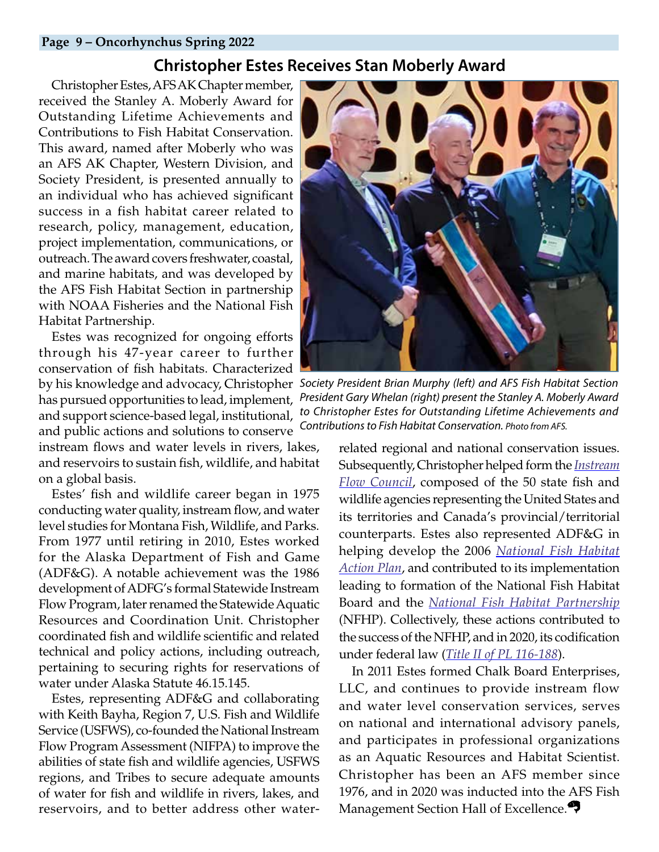#### **Page 9 – Oncorhynchus Spring 2022**

# <span id="page-8-0"></span>**Christopher Estes Receives Stan Moberly Award**

Christopher Estes, AFS AK Chapter member, received the Stanley A. Moberly Award for Outstanding Lifetime Achievements and Contributions to Fish Habitat Conservation. This award, named after Moberly who was an AFS AK Chapter, Western Division, and Society President, is presented annually to an individual who has achieved significant success in a fish habitat career related to research, policy, management, education, project implementation, communications, or outreach. The award covers freshwater, coastal, and marine habitats, and was developed by the AFS Fish Habitat Section in partnership with NOAA Fisheries and the National Fish Habitat Partnership.

Estes was recognized for ongoing efforts through his 47-year career to further conservation of fish habitats. Characterized has pursued opportunities to lead, implement, and support science-based legal, institutional, and public actions and solutions to conserve instream flows and water levels in rivers, lakes, and reservoirs to sustain fish, wildlife, and habitat on a global basis.

Estes' fish and wildlife career began in 1975 conducting water quality, instream flow, and water level studies for Montana Fish, Wildlife, and Parks. From 1977 until retiring in 2010, Estes worked for the Alaska Department of Fish and Game (ADF&G). A notable achievement was the 1986 development of ADFG's formal Statewide Instream Flow Program, later renamed the Statewide Aquatic Resources and Coordination Unit. Christopher coordinated fish and wildlife scientific and related technical and policy actions, including outreach, pertaining to securing rights for reservations of water under Alaska Statute 46.15.145.

Estes, representing ADF&G and collaborating with Keith Bayha, Region 7, U.S. Fish and Wildlife Service (USFWS), co-founded the National Instream Flow Program Assessment (NIFPA) to improve the abilities of state fish and wildlife agencies, USFWS regions, and Tribes to secure adequate amounts of water for fish and wildlife in rivers, lakes, and reservoirs, and to better address other water-



by his knowledge and advocacy, Christopher *Society President Brian Murphy (left) and AFS Fish Habitat Section President Gary Whelan (right) present the Stanley A. Moberly Award to Christopher Estes for Outstanding Lifetime Achievements and Contributions to Fish Habitat Conservation. Photo from AFS.*

related regional and national conservation issues. Subsequently, Christopher helped form the *[Instream](https://www.instreamflowcouncil.org/) [Flow Council](https://www.instreamflowcouncil.org/)*, composed of the 50 state fish and wildlife agencies representing the United States and its territories and Canada's provincial/territorial counterparts. Estes also represented ADF&G in helping develop the 2006 *[National Fish Habitat](https://www.fishhabitat.org/about/national-fish-habitat-action-plans/) [Action Plan](https://www.fishhabitat.org/about/national-fish-habitat-action-plans/)*, and contributed to its implementation leading to formation of the National Fish Habitat Board and the *[National Fish Habitat Partnership](https://www.fishhabitat.org/)* (NFHP). Collectively, these actions contributed to the success of the NFHP, and in 2020, its codification under federal law (*[Title II of PL 116-188](https://www.congress.gov/116/plaws/publ188/PLAW-116publ188.pdf)*).

In 2011 Estes formed Chalk Board Enterprises, LLC, and continues to provide instream flow and water level conservation services, serves on national and international advisory panels, and participates in professional organizations as an Aquatic Resources and Habitat Scientist. Christopher has been an AFS member since 1976, and in 2020 was inducted into the AFS Fish Management Section Hall of Excellence.<sup>27</sup>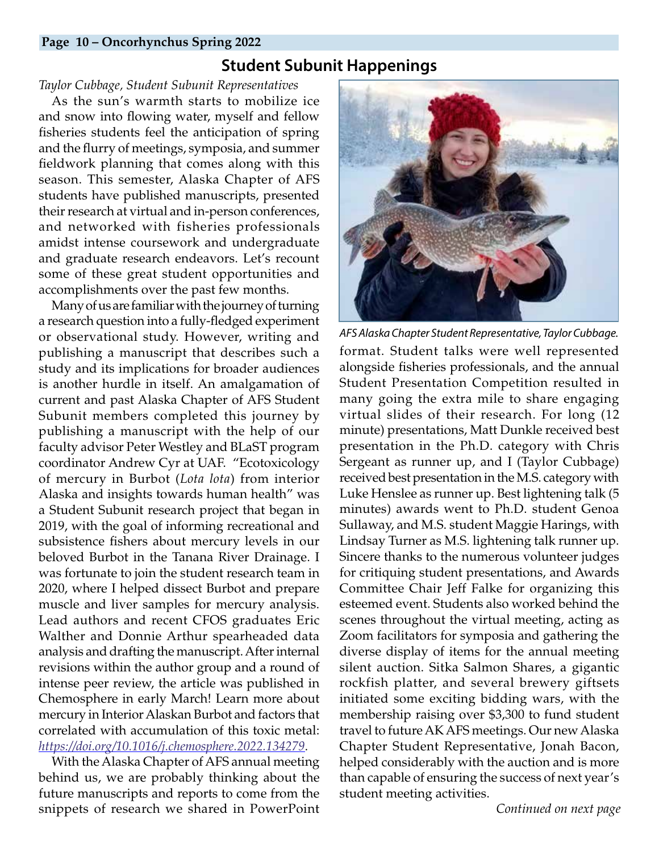#### **Page 10 – Oncorhynchus Spring 2022**

# **Student Subunit Happenings**

#### *Taylor Cubbage, Student Subunit Representatives*

As the sun's warmth starts to mobilize ice and snow into flowing water, myself and fellow fisheries students feel the anticipation of spring and the flurry of meetings, symposia, and summer fieldwork planning that comes along with this season. This semester, Alaska Chapter of AFS students have published manuscripts, presented their research at virtual and in-person conferences, and networked with fisheries professionals amidst intense coursework and undergraduate and graduate research endeavors. Let's recount some of these great student opportunities and accomplishments over the past few months.

Many of us are familiar with the journey of turning a research question into a fully-fledged experiment or observational study. However, writing and publishing a manuscript that describes such a study and its implications for broader audiences is another hurdle in itself. An amalgamation of current and past Alaska Chapter of AFS Student Subunit members completed this journey by publishing a manuscript with the help of our faculty advisor Peter Westley and BLaST program coordinator Andrew Cyr at UAF. "Ecotoxicology of mercury in Burbot (*Lota lota*) from interior Alaska and insights towards human health" was a Student Subunit research project that began in 2019, with the goal of informing recreational and subsistence fishers about mercury levels in our beloved Burbot in the Tanana River Drainage. I was fortunate to join the student research team in 2020, where I helped dissect Burbot and prepare muscle and liver samples for mercury analysis. Lead authors and recent CFOS graduates Eric Walther and Donnie Arthur spearheaded data analysis and drafting the manuscript. After internal revisions within the author group and a round of intense peer review, the article was published in Chemosphere in early March! Learn more about mercury in Interior Alaskan Burbot and factors that correlated with accumulation of this toxic metal: *<https://doi.org/10.1016/j.chemosphere.2022.134279>*.

With the Alaska Chapter of AFS annual meeting behind us, we are probably thinking about the future manuscripts and reports to come from the snippets of research we shared in PowerPoint

<span id="page-9-0"></span>

format. Student talks were well represented alongside fisheries professionals, and the annual Student Presentation Competition resulted in many going the extra mile to share engaging virtual slides of their research. For long (12 minute) presentations, Matt Dunkle received best presentation in the Ph.D. category with Chris Sergeant as runner up, and I (Taylor Cubbage) received best presentation in the M.S. category with Luke Henslee as runner up. Best lightening talk (5 minutes) awards went to Ph.D. student Genoa Sullaway, and M.S. student Maggie Harings, with Lindsay Turner as M.S. lightening talk runner up. Sincere thanks to the numerous volunteer judges for critiquing student presentations, and Awards Committee Chair Jeff Falke for organizing this esteemed event. Students also worked behind the scenes throughout the virtual meeting, acting as Zoom facilitators for symposia and gathering the diverse display of items for the annual meeting silent auction. Sitka Salmon Shares, a gigantic rockfish platter, and several brewery giftsets initiated some exciting bidding wars, with the membership raising over \$3,300 to fund student travel to future AK AFS meetings. Our new Alaska Chapter Student Representative, Jonah Bacon, helped considerably with the auction and is more than capable of ensuring the success of next year's student meeting activities. *AFS Alaska Chapter Student Representative, Taylor Cubbage.*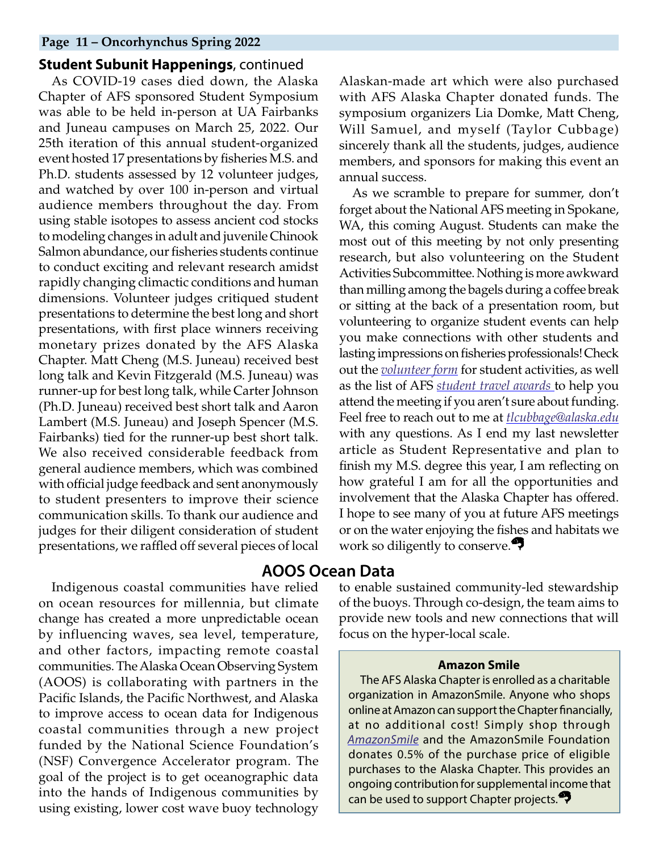#### **Page 11 – Oncorhynchus Spring 2022**

#### **Student Subunit Happenings**, continued

As COVID-19 cases died down, the Alaska Chapter of AFS sponsored Student Symposium was able to be held in-person at UA Fairbanks and Juneau campuses on March 25, 2022. Our 25th iteration of this annual student-organized event hosted 17 presentations by fisheries M.S. and Ph.D. students assessed by 12 volunteer judges, and watched by over 100 in-person and virtual audience members throughout the day. From using stable isotopes to assess ancient cod stocks to modeling changes in adult and juvenile Chinook Salmon abundance, our fisheries students continue to conduct exciting and relevant research amidst rapidly changing climactic conditions and human dimensions. Volunteer judges critiqued student presentations to determine the best long and short presentations, with first place winners receiving monetary prizes donated by the AFS Alaska Chapter. Matt Cheng (M.S. Juneau) received best long talk and Kevin Fitzgerald (M.S. Juneau) was runner-up for best long talk, while Carter Johnson (Ph.D. Juneau) received best short talk and Aaron Lambert (M.S. Juneau) and Joseph Spencer (M.S. Fairbanks) tied for the runner-up best short talk. We also received considerable feedback from general audience members, which was combined with official judge feedback and sent anonymously to student presenters to improve their science communication skills. To thank our audience and judges for their diligent consideration of student presentations, we raffled off several pieces of local

Indigenous coastal communities have relied on ocean resources for millennia, but climate change has created a more unpredictable ocean by influencing waves, sea level, temperature, and other factors, impacting remote coastal communities. The Alaska Ocean Observing System (AOOS) is collaborating with partners in the Pacific Islands, the Pacific Northwest, and Alaska to improve access to ocean data for Indigenous coastal communities through a new project funded by the National Science Foundation's (NSF) Convergence Accelerator program. The goal of the project is to get oceanographic data into the hands of Indigenous communities by using existing, lower cost wave buoy technology

Alaskan-made art which were also purchased with AFS Alaska Chapter donated funds. The symposium organizers Lia Domke, Matt Cheng, Will Samuel, and myself (Taylor Cubbage) sincerely thank all the students, judges, audience members, and sponsors for making this event an annual success.

As we scramble to prepare for summer, don't forget about the National AFS meeting in Spokane, WA, this coming August. Students can make the most out of this meeting by not only presenting research, but also volunteering on the Student Activities Subcommittee. Nothing is more awkward than milling among the bagels during a coffee break or sitting at the back of a presentation room, but volunteering to organize student events can help you make connections with other students and lasting impressions on fisheries professionals! Check out the *[volunteer form](https://docs.google.com/forms/d/e/1FAIpQLSdW6RofYsUZhJpaU-MTy2WlUizfK-8neChaL5QHKpv2_0Lj0g/viewform)* for student activities, as well as the list of AFS *[student travel awards](https://docs.google.com/document/d/1ELp1Jo4Csw74CwxjPVrCQulZzkPpyog2MV6Ez09At-E/edit)* to help you attend the meeting if you aren't sure about funding. Feel free to reach out to me at *[tlcubbage@alaska.edu](mailto:tlcubbage%40alaska.edu?subject=)* with any questions. As I end my last newsletter article as Student Representative and plan to finish my M.S. degree this year, I am reflecting on how grateful I am for all the opportunities and involvement that the Alaska Chapter has offered. I hope to see many of you at future AFS meetings or on the water enjoying the fishes and habitats we work so diligently to conserve.<sup>9</sup>

#### **AOOS Ocean Data**

to enable sustained community-led stewardship of the buoys. Through co-design, the team aims to provide new tools and new connections that will focus on the hyper-local scale.

#### <span id="page-10-0"></span>**Amazon Smile**

The AFS Alaska Chapter is enrolled as a charitable organization in AmazonSmile. Anyone who shops online at Amazon can support the Chapter financially, at no additional cost! Simply shop through *[AmazonSmile](https://smile.amazon.com/)* and the AmazonSmile Foundation donates 0.5% of the purchase price of eligible purchases to the Alaska Chapter. This provides an ongoing contribution for supplemental income that can be used to support Chapter projects.<sup>27</sup>